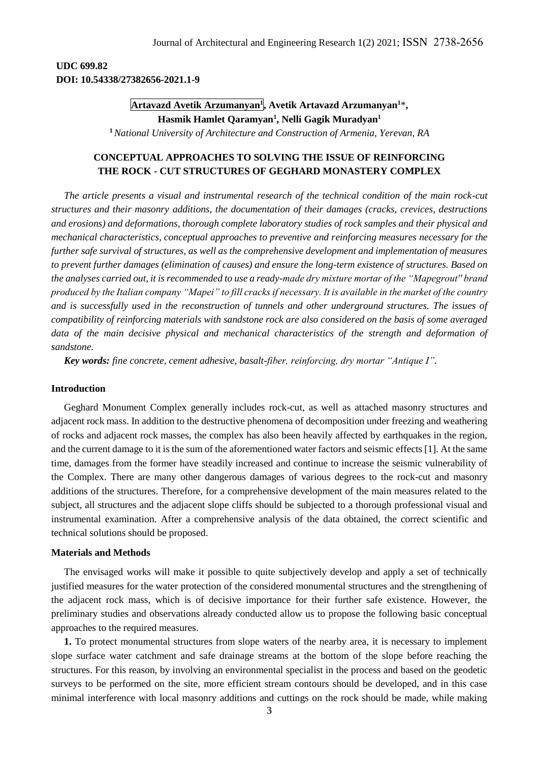## **UDC 699.82 DOI: 10.54338/27382656-2021.1-9**

# **Artavazd Avetik Arzumanyan<sup>1</sup> , Avetik Artavazd Arzumanyan<sup>1</sup>**\***, Hasmik Hamlet Qaramyan<sup>1</sup> , Nelli Gagik Muradyan<sup>1</sup>**

**<sup>1</sup>***National University of Architecture and Construction of Armenia, Yerevan, RA*

## **CONCEPTUAL APPROACHES TO SOLVING THE ISSUE OF REINFORCING THE ROCK - CUT STRUCTURES OF GEGHARD MONASTERY COMPLEX**

*The article presents a visual and instrumental research of the technical condition of the main rock-cut structures and their masonry additions, the documentation of their damages (cracks, crevices, destructions and erosions) and deformations, thorough complete laboratory studies of rock samples and their physical and mechanical characteristics, conceptual approaches to preventive and reinforcing measures necessary for the further safe survival of structures, as well as the comprehensive development and implementation of measures to prevent further damages (elimination of causes) and ensure the long-term existence of structures. Based on the analyses carried out, it is recommended to use a ready-made dry mixture mortar of the "Mapegrout'' brand produced by the Italian company "Mapei" to fill cracks if necessary. It is available in the market of the country and is successfully used in the reconstruction of tunnels and other underground structures. The issues of compatibility of reinforcing materials with sandstone rock are also considered on the basis of some averaged data of the main decisive physical and mechanical characteristics of the strength and deformation of sandstone.*

*Key words: fine concrete, cement adhesive, basalt-fiber, reinforcing, dry mortar "Antique I".*

#### **Introduction**

Geghard Monument Complex generally includes rock-cut, as well as attached masonry structures and adjacent rock mass. In addition to the destructive phenomena of decomposition under freezing and weathering of rocks and adjacent rock masses, the complex has also been heavily affected by earthquakes in the region, and the current damage to it is the sum of the aforementioned water factors and seismic effects [1]. At the same time, damages from the former have steadily increased and continue to increase the seismic vulnerability of the Complex. There are many other dangerous damages of various degrees to the rock-cut and masonry additions of the structures. Therefore, for a comprehensive development of the main measures related to the subject, all structures and the adjacent slope cliffs should be subjected to a thorough professional visual and instrumental examination. After a comprehensive analysis of the data obtained, the correct scientific and technical solutions should be proposed.

### **Materials and Methods**

The envisaged works will make it possible to quite subjectively develop and apply a set of technically justified measures for the water protection of the considered monumental structures and the strengthening of the adjacent rock mass, which is of decisive importance for their further safe existence. However, the preliminary studies and observations already conducted allow us to propose the following basic conceptual approaches to the required measures.

**1.** To protect monumental structures from slope waters of the nearby area, it is necessary to implement slope surface water catchment and safe drainage streams at the bottom of the slope before reaching the structures. For this reason, by involving an environmental specialist in the process and based on the geodetic surveys to be performed on the site, more efficient stream contours should be developed, and in this case minimal interference with local masonry additions and cuttings on the rock should be made, while making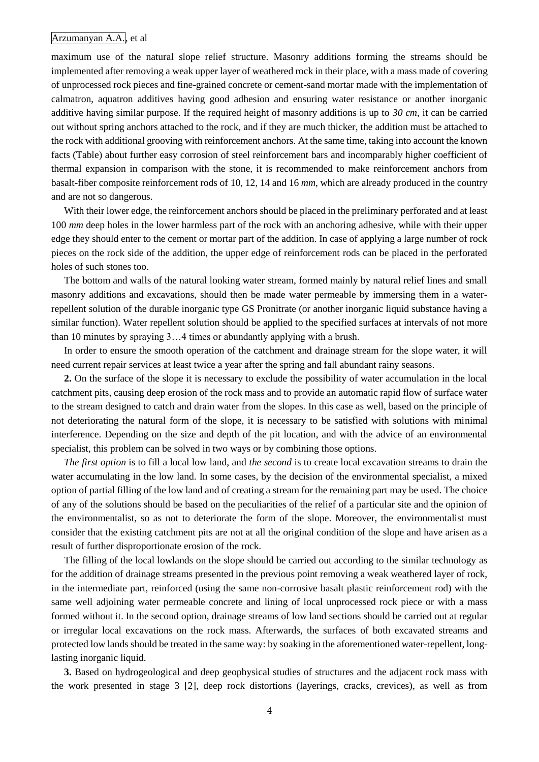### Arzumanyan A.A., et al

maximum use of the natural slope relief structure. Masonry additions forming the streams should be implemented after removing a weak upper layer of weathered rock in their place, with a mass made of covering of unprocessed rock pieces and fine-grained concrete or cement-sand mortar made with the implementation of calmatron, aquatron additives having good adhesion and ensuring water resistance or another inorganic additive having similar purpose. If the required height of masonry additions is up to *30 cm*, it can be carried out without spring anchors attached to the rock, and if they are much thicker, the addition must be attached to the rock with additional grooving with reinforcement anchors. At the same time, taking into account the known facts (Table) about further easy corrosion of steel reinforcement bars and incomparably higher coefficient of thermal expansion in comparison with the stone, it is recommended to make reinforcement anchors from basalt-fiber composite reinforcement rods of 10, 12, 14 and 16 *mm*, which are already produced in the country and are not so dangerous.

With their lower edge, the reinforcement anchors should be placed in the preliminary perforated and at least 100 *mm* deep holes in the lower harmless part of the rock with an anchoring adhesive, while with their upper edge they should enter to the cement or mortar part of the addition. In case of applying a large number of rock pieces on the rock side of the addition, the upper edge of reinforcement rods can be placed in the perforated holes of such stones too.

The bottom and walls of the natural looking water stream, formed mainly by natural relief lines and small masonry additions and excavations, should then be made water permeable by immersing them in a waterrepellent solution of the durable inorganic type GS Pronitrate (or another inorganic liquid substance having a similar function). Water repellent solution should be applied to the specified surfaces at intervals of not more than 10 minutes by spraying 3…4 times or abundantly applying with a brush.

In order to ensure the smooth operation of the catchment and drainage stream for the slope water, it will need current repair services at least twice a year after the spring and fall abundant rainy seasons.

**2.** On the surface of the slope it is necessary to exclude the possibility of water accumulation in the local catchment pits, causing deep erosion of the rock mass and to provide an automatic rapid flow of surface water to the stream designed to catch and drain water from the slopes. In this case as well, based on the principle of not deteriorating the natural form of the slope, it is necessary to be satisfied with solutions with minimal interference. Depending on the size and depth of the pit location, and with the advice of an environmental specialist, this problem can be solved in two ways or by combining those options.

*The first option* is to fill a local low land, and *the second* is to create local excavation streams to drain the water accumulating in the low land. In some cases, by the decision of the environmental specialist, a mixed option of partial filling of the low land and of creating a stream for the remaining part may be used. The choice of any of the solutions should be based on the peculiarities of the relief of a particular site and the opinion of the environmentalist, so as not to deteriorate the form of the slope. Moreover, the environmentalist must consider that the existing catchment pits are not at all the original condition of the slope and have arisen as a result of further disproportionate erosion of the rock.

The filling of the local lowlands on the slope should be carried out according to the similar technology as for the addition of drainage streams presented in the previous point removing a weak weathered layer of rock, in the intermediate part, reinforced (using the same non-corrosive basalt plastic reinforcement rod) with the same well adjoining water permeable concrete and lining of local unprocessed rock piece or with a mass formed without it. In the second option, drainage streams of low land sections should be carried out at regular or irregular local excavations on the rock mass. Afterwards, the surfaces of both excavated streams and protected low lands should be treated in the same way: by soaking in the aforementioned water-repellent, longlasting inorganic liquid.

**3.** Based on hydrogeological and deep geophysical studies of structures and the adjacent rock mass with the work presented in stage 3 [2], deep rock distortions (layerings, cracks, crevices), as well as from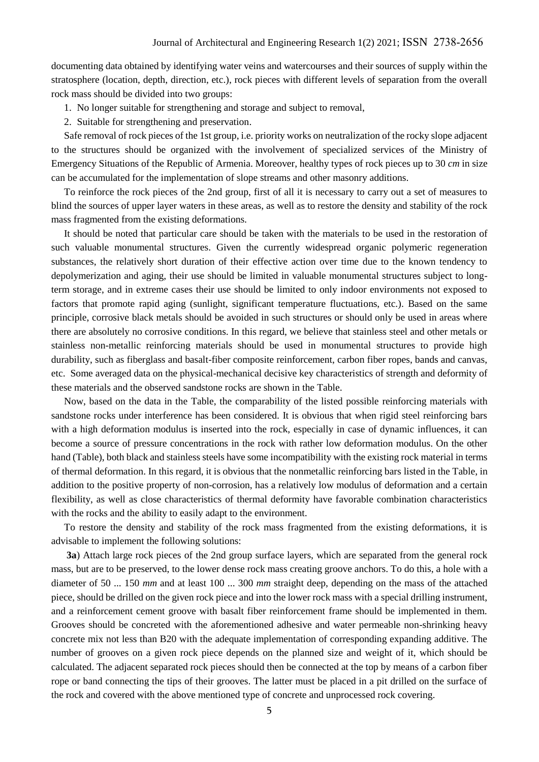documenting data obtained by identifying water veins and watercourses and their sources of supply within the stratosphere (location, depth, direction, etc.), rock pieces with different levels of separation from the overall rock mass should be divided into two groups:

- 1. No longer suitable for strengthening and storage and subject to removal,
- 2. Suitable for strengthening and preservation.

Safe removal of rock pieces of the 1st group, i.e. priority works on neutralization of the rocky slope adjacent to the structures should be organized with the involvement of specialized services of the Ministry of Emergency Situations of the Republic of Armenia. Moreover, healthy types of rock pieces up to 30 *cm* in size can be accumulated for the implementation of slope streams and other masonry additions.

To reinforce the rock pieces of the 2nd group, first of all it is necessary to carry out a set of measures to blind the sources of upper layer waters in these areas, as well as to restore the density and stability of the rock mass fragmented from the existing deformations.

It should be noted that particular care should be taken with the materials to be used in the restoration of such valuable monumental structures. Given the currently widespread organic polymeric regeneration substances, the relatively short duration of their effective action over time due to the known tendency to depolymerization and aging, their use should be limited in valuable monumental structures subject to longterm storage, and in extreme cases their use should be limited to only indoor environments not exposed to factors that promote rapid aging (sunlight, significant temperature fluctuations, etc.). Based on the same principle, corrosive black metals should be avoided in such structures or should only be used in areas where there are absolutely no corrosive conditions. In this regard, we believe that stainless steel and other metals or stainless non-metallic reinforcing materials should be used in monumental structures to provide high durability, such as fiberglass and basalt-fiber composite reinforcement, carbon fiber ropes, bands and canvas, etc. Some averaged data on the physical-mechanical decisive key characteristics of strength and deformity of these materials and the observed sandstone rocks are shown in the Table.

Now, based on the data in the Table, the comparability of the listed possible reinforcing materials with sandstone rocks under interference has been considered. It is obvious that when rigid steel reinforcing bars with a high deformation modulus is inserted into the rock, especially in case of dynamic influences, it can become a source of pressure concentrations in the rock with rather low deformation modulus. On the other hand (Table), both black and stainless steels have some incompatibility with the existing rock material in terms of thermal deformation. In this regard, it is obvious that the nonmetallic reinforcing bars listed in the Table, in addition to the positive property of non-corrosion, has a relatively low modulus of deformation and a certain flexibility, as well as close characteristics of thermal deformity have favorable combination characteristics with the rocks and the ability to easily adapt to the environment.

To restore the density and stability of the rock mass fragmented from the existing deformations, it is advisable to implement the following solutions:

**3a**) Attach large rock pieces of the 2nd group surface layers, which are separated from the general rock mass, but are to be preserved, to the lower dense rock mass creating groove anchors. To do this, a hole with a diameter of 50 ... 150 *mm* and at least 100 ... 300 *mm* straight deep, depending on the mass of the attached piece, should be drilled on the given rock piece and into the lower rock mass with a special drilling instrument, and a reinforcement cement groove with basalt fiber reinforcement frame should be implemented in them. Grooves should be concreted with the aforementioned adhesive and water permeable non-shrinking heavy concrete mix not less than B20 with the adequate implementation of corresponding expanding additive. The number of grooves on a given rock piece depends on the planned size and weight of it, which should be calculated. The adjacent separated rock pieces should then be connected at the top by means of a carbon fiber rope or band connecting the tips of their grooves. The latter must be placed in a pit drilled on the surface of the rock and covered with the above mentioned type of concrete and unprocessed rock covering.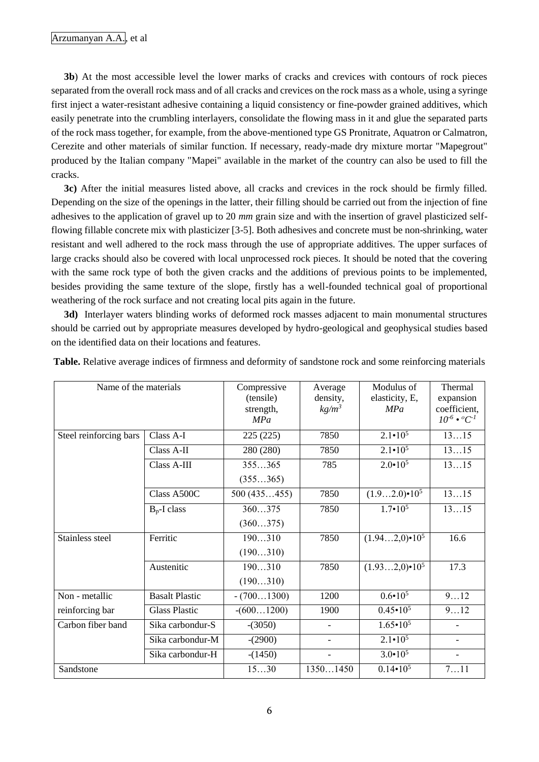**3b**) At the most accessible level the lower marks of cracks and crevices with contours of rock pieces separated from the overall rock mass and of all cracks and crevices on the rock mass as a whole, using a syringe first inject a water-resistant adhesive containing a liquid consistency or fine-powder grained additives, which easily penetrate into the crumbling interlayers, consolidate the flowing mass in it and glue the separated parts of the rock mass together, for example, from the above-mentioned type GS Pronitrate, Aquatron or Calmatron, Cerezite and other materials of similar function. If necessary, ready-made dry mixture mortar "Mapegrout" produced by the Italian company "Mapei" available in the market of the country can also be used to fill the cracks.

**3c)** After the initial measures listed above, all cracks and crevices in the rock should be firmly filled. Depending on the size of the openings in the latter, their filling should be carried out from the injection of fine adhesives to the application of gravel up to 20 *mm* grain size and with the insertion of gravel plasticized selfflowing fillable concrete mix with plasticizer [3-5]. Both adhesives and concrete must be non-shrinking, water resistant and well adhered to the rock mass through the use of appropriate additives. The upper surfaces of large cracks should also be covered with local unprocessed rock pieces. It should be noted that the covering with the same rock type of both the given cracks and the additions of previous points to be implemented, besides providing the same texture of the slope, firstly has a well-founded technical goal of proportional weathering of the rock surface and not creating local pits again in the future.

**3d)** Interlayer waters blinding works of deformed rock masses adjacent to main monumental structures should be carried out by appropriate measures developed by hydro-geological and geophysical studies based on the identified data on their locations and features.

| Name of the materials  |                       | Compressive<br>(tensile)<br>strength,<br>MPa | Average<br>density,<br>$kg/m^3$ | Modulus of<br>elasticity, E,<br>MPa | Thermal<br>expansion<br>coefficient,<br>$10^{-6} \cdot {}^{0}C^{-1}$ |
|------------------------|-----------------------|----------------------------------------------|---------------------------------|-------------------------------------|----------------------------------------------------------------------|
| Steel reinforcing bars | Class A-I             | 225 (225)                                    | 7850                            | $2.1 \cdot 10^5$                    | 1315                                                                 |
|                        | Class A-II            | 280 (280)                                    | 7850                            | $2.1 \cdot 10^5$                    | 1315                                                                 |
|                        | Class A-III           | 355365                                       | 785                             | $2.0 \cdot 10^{5}$                  | 1315                                                                 |
|                        |                       | (355365)                                     |                                 |                                     |                                                                      |
|                        | Class A500C           | 500(435455)                                  | 7850                            | $(1.92.0) \cdot 10^5$               | 1315                                                                 |
|                        | $B_p$ -I class        | 360375                                       | 7850                            | $1.7 \cdot 10^{5}$                  | 1315                                                                 |
|                        |                       | (360375)                                     |                                 |                                     |                                                                      |
| Stainless steel        | Ferritic              | 190310                                       | 7850                            | $(1.942,0) \cdot 10^5$              | 16.6                                                                 |
|                        |                       | (190310)                                     |                                 |                                     |                                                                      |
|                        | Austenitic            | 190310                                       | 7850                            | $(1.932,0) \cdot 10^5$              | 17.3                                                                 |
|                        |                       | (190310)                                     |                                 |                                     |                                                                      |
| Non - metallic         | <b>Basalt Plastic</b> | $-(7001300)$                                 | 1200                            | $0.6 \cdot 10^5$                    | 912                                                                  |
| reinforcing bar        | <b>Glass Plastic</b>  | $-(6001200)$                                 | 1900                            | $0.45 \cdot 10^5$                   | 912                                                                  |
| Carbon fiber band      | Sika carbondur-S      | $-(3050)$                                    |                                 | $1.65 \cdot 10^5$                   |                                                                      |
|                        | Sika carbondur-M      | $-(2900)$                                    |                                 | $2.1 \cdot 10^5$                    |                                                                      |
|                        | Sika carbondur-H      | $-(1450)$                                    |                                 | $3.0 \cdot 10^{5}$                  |                                                                      |
| Sandstone              |                       | 1530                                         | 13501450                        | $0.14 \cdot 10^5$                   | 711                                                                  |

**Table.** Relative average indices of firmness and deformity of sandstone rock and some reinforcing materials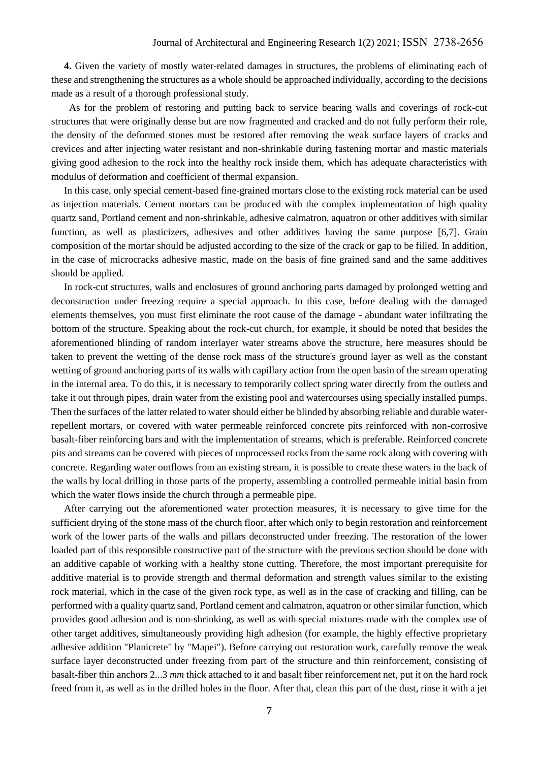**4.** Given the variety of mostly water-related damages in structures, the problems of eliminating each of these and strengthening the structures as a whole should be approached individually, according to the decisions made as a result of a thorough professional study.

 As for the problem of restoring and putting back to service bearing walls and coverings of rock-cut structures that were originally dense but are now fragmented and cracked and do not fully perform their role, the density of the deformed stones must be restored after removing the weak surface layers of cracks and crevices and after injecting water resistant and non-shrinkable during fastening mortar and mastic materials giving good adhesion to the rock into the healthy rock inside them, which has adequate characteristics with modulus of deformation and coefficient of thermal expansion.

In this case, only special cement-based fine-grained mortars close to the existing rock material can be used as injection materials. Cement mortars can be produced with the complex implementation of high quality quartz sand, Portland cement and non-shrinkable, adhesive calmatron, aquatron or other additives with similar function, as well as plasticizers, adhesives and other additives having the same purpose [6,7]. Grain composition of the mortar should be adjusted according to the size of the crack or gap to be filled. In addition, in the case of microcracks adhesive mastic, made on the basis of fine grained sand and the same additives should be applied.

In rock-cut structures, walls and enclosures of ground anchoring parts damaged by prolonged wetting and deconstruction under freezing require a special approach. In this case, before dealing with the damaged elements themselves, you must first eliminate the root cause of the damage - abundant water infiltrating the bottom of the structure. Speaking about the rock-cut church, for example, it should be noted that besides the aforementioned blinding of random interlayer water streams above the structure, here measures should be taken to prevent the wetting of the dense rock mass of the structure's ground layer as well as the constant wetting of ground anchoring parts of its walls with capillary action from the open basin of the stream operating in the internal area. To do this, it is necessary to temporarily collect spring water directly from the outlets and take it out through pipes, drain water from the existing pool and watercourses using specially installed pumps. Then the surfaces of the latter related to water should either be blinded by absorbing reliable and durable waterrepellent mortars, or covered with water permeable reinforced concrete pits reinforced with non-corrosive basalt-fiber reinforcing bars and with the implementation of streams, which is preferable. Reinforced concrete pits and streams can be covered with pieces of unprocessed rocks from the same rock along with covering with concrete. Regarding water outflows from an existing stream, it is possible to create these waters in the back of the walls by local drilling in those parts of the property, assembling a controlled permeable initial basin from which the water flows inside the church through a permeable pipe.

After carrying out the aforementioned water protection measures, it is necessary to give time for the sufficient drying of the stone mass of the church floor, after which only to begin restoration and reinforcement work of the lower parts of the walls and pillars deconstructed under freezing. The restoration of the lower loaded part of this responsible constructive part of the structure with the previous section should be done with an additive capable of working with a healthy stone cutting. Therefore, the most important prerequisite for additive material is to provide strength and thermal deformation and strength values similar to the existing rock material, which in the case of the given rock type, as well as in the case of cracking and filling, can be performed with a quality quartz sand, Portland cement and calmatron, aquatron or other similar function, which provides good adhesion and is non-shrinking, as well as with special mixtures made with the complex use of other target additives, simultaneously providing high adhesion (for example, the highly effective proprietary adhesive addition "Planicrete" by "Mapei"). Before carrying out restoration work, carefully remove the weak surface layer deconstructed under freezing from part of the structure and thin reinforcement, consisting of basalt-fiber thin anchors 2...3 *mm* thick attached to it and basalt fiber reinforcement net, put it on the hard rock freed from it, as well as in the drilled holes in the floor. After that, clean this part of the dust, rinse it with a jet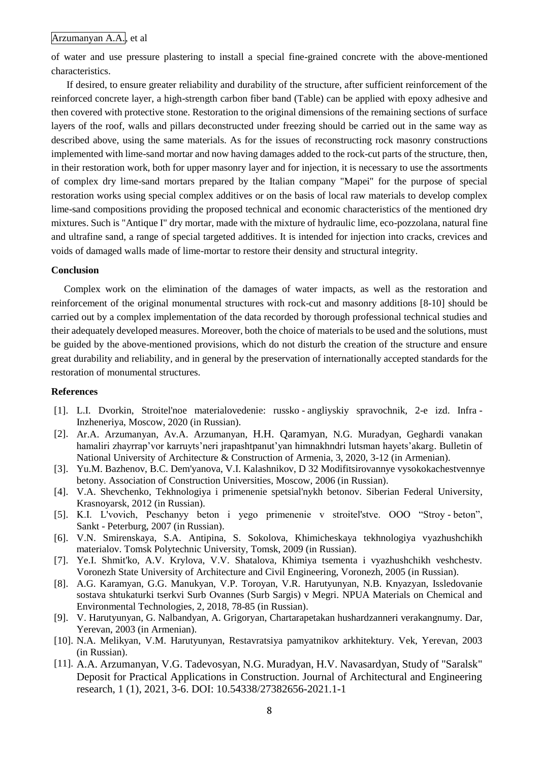### Arzumanyan A.A., et al

of water and use pressure plastering to install a special fine-grained concrete with the above-mentioned characteristics.

If desired, to ensure greater reliability and durability of the structure, after sufficient reinforcement of the reinforced concrete layer, a high-strength carbon fiber band (Table) can be applied with epoxy adhesive and then covered with protective stone. Restoration to the original dimensions of the remaining sections of surface layers of the roof, walls and pillars deconstructed under freezing should be carried out in the same way as described above, using the same materials. As for the issues of reconstructing rock masonry constructions implemented with lime-sand mortar and now having damages added to the rock-cut parts of the structure, then, in their restoration work, both for upper masonry layer and for injection, it is necessary to use the assortments of complex dry lime-sand mortars prepared by the Italian company "Mapei" for the purpose of special restoration works using special complex additives or on the basis of local raw materials to develop complex lime-sand compositions providing the proposed technical and economic characteristics of the mentioned dry mixtures. Such is "Antique I" dry mortar, made with the mixture of hydraulic lime, eco-pozzolana, natural fine and ultrafine sand, a range of special targeted additives. It is intended for injection into cracks, crevices and voids of damaged walls made of lime-mortar to restore their density and structural integrity.

#### **Conclusion**

Complex work on the elimination of the damages of water impacts, as well as the restoration and reinforcement of the original monumental structures with rock-cut and masonry additions [8-10] should be carried out by a complex implementation of the data recorded by thorough professional technical studies and their adequately developed measures. Moreover, both the choice of materials to be used and the solutions, must be guided by the above-mentioned provisions, which do not disturb the creation of the structure and ensure great durability and reliability, and in general by the preservation of internationally accepted standards for the restoration of monumental structures.

#### **References**

- [1]. L.I. Dvorkin, Stroitel'noe materialovedenie: russko angliyskiy spravochnik, 2-e izd. Infra Inzheneriya, Moscow, 2020 (in Russian).
- [2]. Ar.A. Arzumanyan, Av.A. Arzumanyan, H.H. Qaramyan, N.G. Muradyan, Geghardi vanakan hamaliri zhayrrap'vor karruyts'neri jrapashtpanut'yan himnakhndri lutsman hayets'akarg. Bulletin of National University of Architecture & Construction of Armenia, 3, 2020, 3-12 (in Armenian).
- [3]. Yu.M. Bazhenov, B.C. Dem'yanova, V.I. Kalashnikov, D 32 Modifitsirovannye vysokokachestvennye betony. Association of Construction Universities, Moscow, 2006 (in Russian).
- [4]. V.A. Shevchenko, Tekhnologiya i primenenie spetsial'nykh betonov. Siberian Federal University, Krasnoyarsk, 2012 (in Russian).
- [5]. K.I. L'vovich, Peschanyy beton i yego primenenie v stroitel'stve. OOO "Stroy beton", Sankt - Peterburg, 2007 (in Russian).
- [6]. V.N. Smirenskaya, S.A. Antipina, S. Sokolova, Khimicheskaya tekhnologiya vyazhushchikh materialov. Tomsk Polytechnic University, Tomsk, 2009 (in Russian).
- [7]. Ye.I. Shmit'ko, A.V. Krylova, V.V. Shatalova, Khimiya tsementa i vyazhushchikh veshchestv. Voronezh State University of Architecture and Civil Engineering, Voronezh, 2005 (in Russian).
- [8]. A.G. Karamyan, G.G. Manukyan, V.P. Toroyan, V.R. Harutyunyan, N.B. Knyazyan, Issledovanie sostava shtukaturki tserkvi Surb Ovannes (Surb Sargis) v Megri. NPUA Materials on Chemical and Environmental Technologies, 2, 2018, 78-85 (in Russian).
- [9]. V. Harutyunyan, G. Nalbandyan, A. Grigoryan, Chartarapetakan hushardzanneri verakangnumy. Dar, Yerevan, 2003 (in Armenian).
- [10]. N.A. Melikyan, V.M. Harutyunyan, Restavratsiya pamyatnikov arkhitektury. Vek, Yerevan, 2003 (in Russian).
- [11]. A.A. Arzumanyan, V.G. Tadevosyan, N.G. Muradyan, H.V. Navasardyan, Study of "Saralsk" Deposit for Practical Applications in Construction. Journal of Architectural and Engineering research, 1 (1), 2021, 3-6. DOI: 10.54338/27382656-2021.1-1